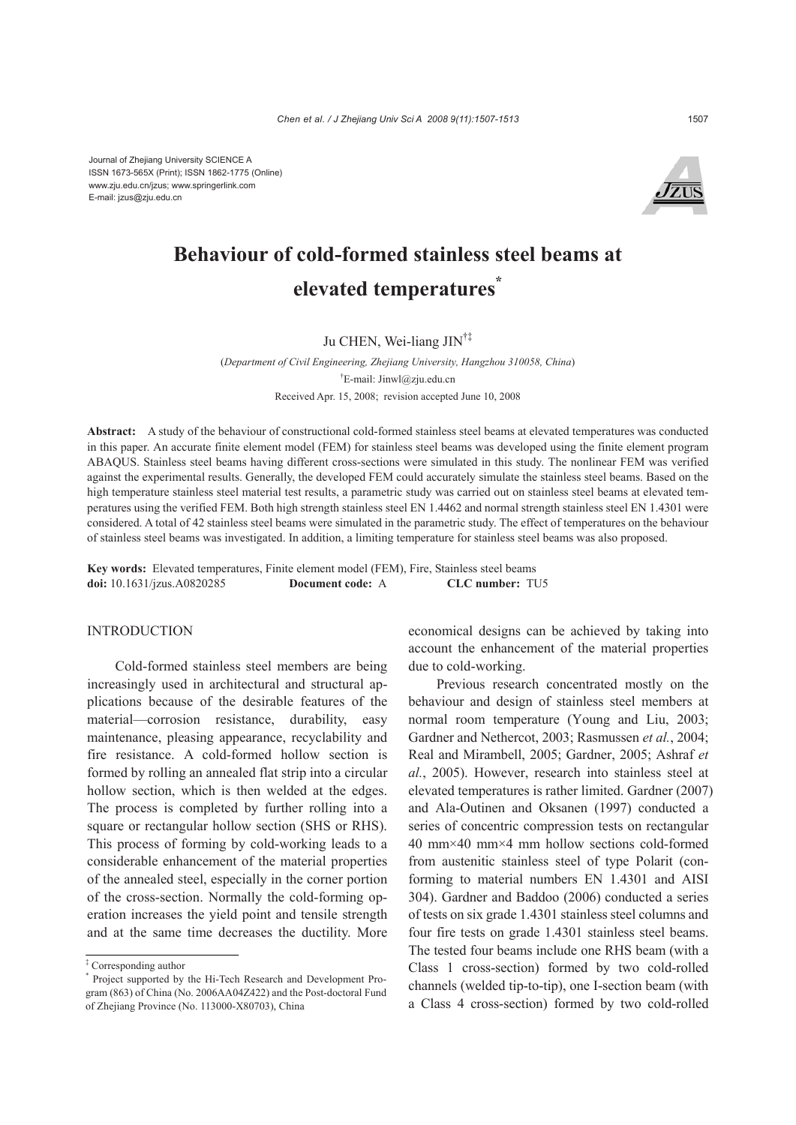Journal of Zhejiang University SCIENCE A ISSN 1673-565X (Print); ISSN 1862-1775 (Online) www.zju.edu.cn/jzus; www.springerlink.com E-mail: jzus@zju.edu.cn



# **Behaviour of cold-formed stainless steel beams at elevated temperatures\***

## Ju CHEN, Wei-liang JIN†‡

(*Department of Civil Engineering, Zhejiang University, Hangzhou 310058, China*) † E-mail: Jinwl@zju.edu.cn Received Apr. 15, 2008; revision accepted June 10, 2008

**Abstract:** A study of the behaviour of constructional cold-formed stainless steel beams at elevated temperatures was conducted in this paper. An accurate finite element model (FEM) for stainless steel beams was developed using the finite element program ABAQUS. Stainless steel beams having different cross-sections were simulated in this study. The nonlinear FEM was verified against the experimental results. Generally, the developed FEM could accurately simulate the stainless steel beams. Based on the high temperature stainless steel material test results, a parametric study was carried out on stainless steel beams at elevated temperatures using the verified FEM. Both high strength stainless steel EN 1.4462 and normal strength stainless steel EN 1.4301 were considered. A total of 42 stainless steel beams were simulated in the parametric study. The effect of temperatures on the behaviour of stainless steel beams was investigated. In addition, a limiting temperature for stainless steel beams was also proposed.

**Key words:** Elevated temperatures, Finite element model (FEM), Fire, Stainless steel beams **doi:** 10.1631/jzus.A0820285 **Document code:** A **CLC number:** TU5

### **INTRODUCTION**

Cold-formed stainless steel members are being increasingly used in architectural and structural applications because of the desirable features of the material—corrosion resistance, durability, easy maintenance, pleasing appearance, recyclability and fire resistance. A cold-formed hollow section is formed by rolling an annealed flat strip into a circular hollow section, which is then welded at the edges. The process is completed by further rolling into a square or rectangular hollow section (SHS or RHS). This process of forming by cold-working leads to a considerable enhancement of the material properties of the annealed steel, especially in the corner portion of the cross-section. Normally the cold-forming operation increases the yield point and tensile strength and at the same time decreases the ductility. More economical designs can be achieved by taking into account the enhancement of the material properties due to cold-working.

Previous research concentrated mostly on the behaviour and design of stainless steel members at normal room temperature (Young and Liu, 2003; Gardner and Nethercot, 2003; Rasmussen *et al.*, 2004; Real and Mirambell, 2005; Gardner, 2005; Ashraf *et al.*, 2005). However, research into stainless steel at elevated temperatures is rather limited. Gardner (2007) and Ala-Outinen and Oksanen (1997) conducted a series of concentric compression tests on rectangular 40 mm×40 mm×4 mm hollow sections cold-formed from austenitic stainless steel of type Polarit (conforming to material numbers EN 1.4301 and AISI 304). Gardner and Baddoo (2006) conducted a series of tests on six grade 1.4301 stainless steel columns and four fire tests on grade 1.4301 stainless steel beams. The tested four beams include one RHS beam (with a Class 1 cross-section) formed by two cold-rolled channels (welded tip-to-tip), one I-section beam (with a Class 4 cross-section) formed by two cold-rolled

<sup>‡</sup> Corresponding author

<sup>\*</sup> Project supported by the Hi-Tech Research and Development Program (863) of China (No. 2006AA04Z422) and the Post-doctoral Fund of Zhejiang Province (No. 113000-X80703), China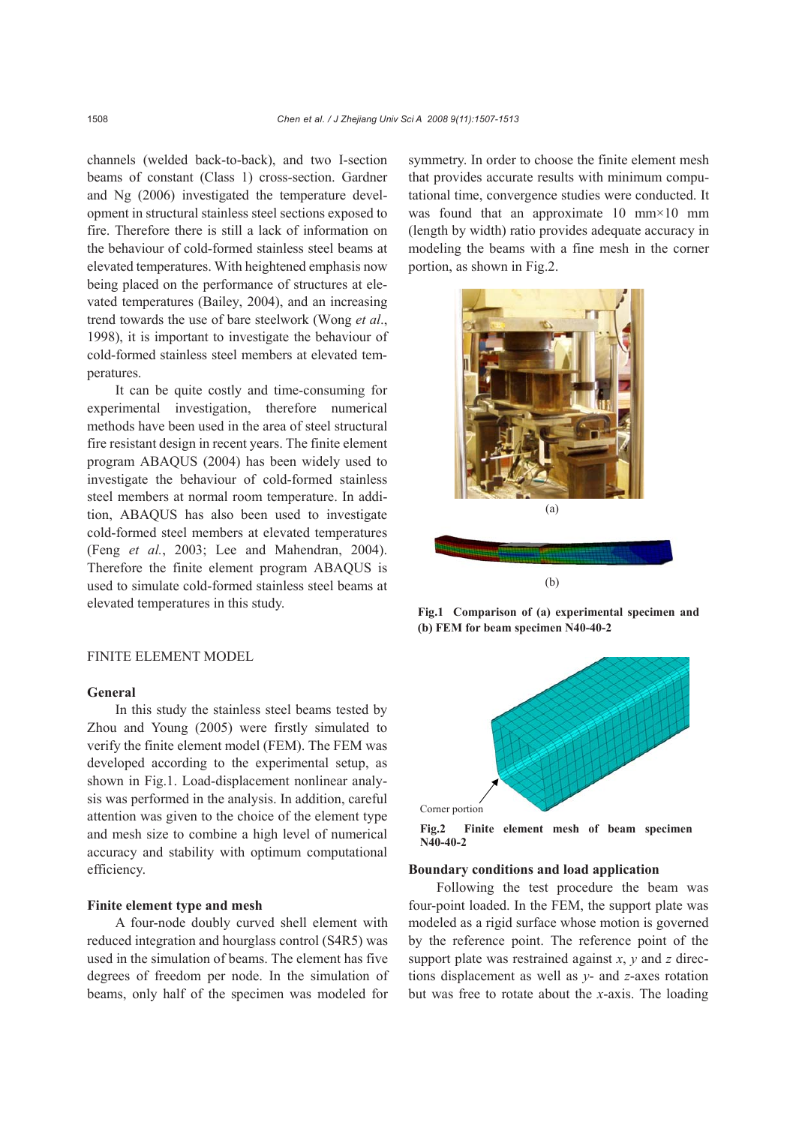channels (welded back-to-back), and two I-section beams of constant (Class 1) cross-section. Gardner and Ng (2006) investigated the temperature development in structural stainless steel sections exposed to fire. Therefore there is still a lack of information on the behaviour of cold-formed stainless steel beams at elevated temperatures. With heightened emphasis now being placed on the performance of structures at elevated temperatures (Bailey, 2004), and an increasing trend towards the use of bare steelwork (Wong *et al*., 1998), it is important to investigate the behaviour of cold-formed stainless steel members at elevated temperatures.

It can be quite costly and time-consuming for experimental investigation, therefore numerical methods have been used in the area of steel structural fire resistant design in recent years. The finite element program ABAQUS (2004) has been widely used to investigate the behaviour of cold-formed stainless steel members at normal room temperature. In addition, ABAQUS has also been used to investigate cold-formed steel members at elevated temperatures (Feng *et al.*, 2003; Lee and Mahendran, 2004). Therefore the finite element program ABAQUS is used to simulate cold-formed stainless steel beams at elevated temperatures in this study.

## FINITE ELEMENT MODEL

## **General**

In this study the stainless steel beams tested by Zhou and Young (2005) were firstly simulated to verify the finite element model (FEM). The FEM was developed according to the experimental setup, as shown in Fig.1. Load-displacement nonlinear analysis was performed in the analysis. In addition, careful attention was given to the choice of the element type and mesh size to combine a high level of numerical accuracy and stability with optimum computational efficiency.

#### **Finite element type and mesh**

A four-node doubly curved shell element with reduced integration and hourglass control (S4R5) was used in the simulation of beams. The element has five degrees of freedom per node. In the simulation of beams, only half of the specimen was modeled for symmetry. In order to choose the finite element mesh that provides accurate results with minimum computational time, convergence studies were conducted. It was found that an approximate 10 mm $\times$ 10 mm (length by width) ratio provides adequate accuracy in modeling the beams with a fine mesh in the corner portion, as shown in Fig.2.



**Fig.1 Comparison of (a) experimental specimen and (b) FEM for beam specimen N40-40-2** 



**Fig.2 Finite element mesh of beam specimen N40-40-2**

#### **Boundary conditions and load application**

Following the test procedure the beam was four-point loaded. In the FEM, the support plate was modeled as a rigid surface whose motion is governed by the reference point. The reference point of the support plate was restrained against *x*, *y* and *z* directions displacement as well as *y*- and *z*-axes rotation but was free to rotate about the *x*-axis. The loading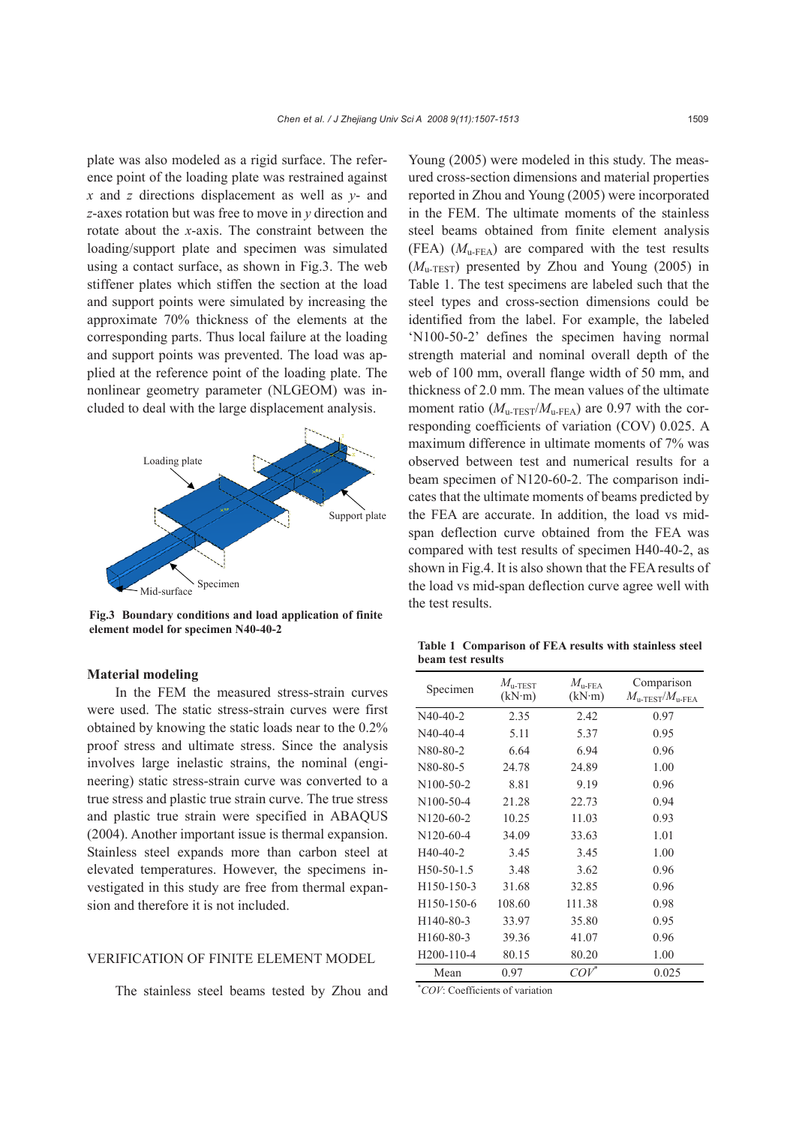plate was also modeled as a rigid surface. The reference point of the loading plate was restrained against *x* and *z* directions displacement as well as *y*- and *z*-axes rotation but was free to move in *y* direction and rotate about the *x*-axis. The constraint between the loading/support plate and specimen was simulated using a contact surface, as shown in Fig.3. The web stiffener plates which stiffen the section at the load and support points were simulated by increasing the approximate 70% thickness of the elements at the corresponding parts. Thus local failure at the loading and support points was prevented. The load was applied at the reference point of the loading plate. The nonlinear geometry parameter (NLGEOM) was included to deal with the large displacement analysis.



**Fig.3 Boundary conditions and load application of finite element model for specimen N40-40-2** 

#### **Material modeling**

In the FEM the measured stress-strain curves were used. The static stress-strain curves were first obtained by knowing the static loads near to the 0.2% proof stress and ultimate stress. Since the analysis involves large inelastic strains, the nominal (engineering) static stress-strain curve was converted to a true stress and plastic true strain curve. The true stress and plastic true strain were specified in ABAQUS (2004). Another important issue is thermal expansion. Stainless steel expands more than carbon steel at elevated temperatures. However, the specimens investigated in this study are free from thermal expansion and therefore it is not included.

## VERIFICATION OF FINITE ELEMENT MODEL

The stainless steel beams tested by Zhou and

Young (2005) were modeled in this study. The measured cross-section dimensions and material properties reported in Zhou and Young (2005) were incorporated in the FEM. The ultimate moments of the stainless steel beams obtained from finite element analysis (FEA)  $(M_{\text{u-FEA}})$  are compared with the test results  $(M<sub>u-TEST</sub>)$  presented by Zhou and Young (2005) in Table 1. The test specimens are labeled such that the steel types and cross-section dimensions could be identified from the label. For example, the labeled 'N100-50-2' defines the specimen having normal strength material and nominal overall depth of the web of 100 mm, overall flange width of 50 mm, and thickness of 2.0 mm. The mean values of the ultimate moment ratio  $(M_{\text{u-TEST}}/M_{\text{u-FEA}})$  are 0.97 with the corresponding coefficients of variation (COV) 0.025. A maximum difference in ultimate moments of 7% was observed between test and numerical results for a beam specimen of N120-60-2. The comparison indicates that the ultimate moments of beams predicted by the FEA are accurate. In addition, the load vs midspan deflection curve obtained from the FEA was compared with test results of specimen H40-40-2, as shown in Fig.4. It is also shown that the FEA results of the load vs mid-span deflection curve agree well with the test results.

**Table 1 Comparison of FEA results with stainless steel beam test results** 

| Specimen                | $M_{\rm n-TEST}$<br>(kN·m) | $M_{\textrm{\tiny{II-FFA}}}$<br>(kN·m) | Comparison<br>$M_{\text{u-TEST}}/M_{\text{u-FEA}}$ |
|-------------------------|----------------------------|----------------------------------------|----------------------------------------------------|
| $N40-40-2$              | 2.35                       | 2.42                                   | 0.97                                               |
| $N40-40-4$              | 5.11                       | 5.37                                   | 0.95                                               |
| N80-80-2                | 6.64                       | 6.94                                   | 0.96                                               |
| N80-80-5                | 24.78                      | 24.89                                  | 1.00                                               |
| N100-50-2               | 8.81                       | 9.19                                   | 0.96                                               |
| $N100-50-4$             | 21.28                      | 22.73                                  | 0.94                                               |
| $N120-60-2$             | 10.25                      | 11.03                                  | 0.93                                               |
| N <sub>120</sub> -60-4  | 34.09                      | 33.63                                  | 1.01                                               |
| $H40-40-2$              | 3.45                       | 3.45                                   | 1.00                                               |
| H50-50-1.5              | 3.48                       | 3.62                                   | 0.96                                               |
| H <sub>150</sub> -150-3 | 31.68                      | 32.85                                  | 0.96                                               |
| H <sub>150</sub> -150-6 | 108.60                     | 111.38                                 | 0.98                                               |
| H140-80-3               | 33.97                      | 35.80                                  | 0.95                                               |
| H160-80-3               | 39.36                      | 41.07                                  | 0.96                                               |
| H <sub>200</sub> -110-4 | 80.15                      | 80.20                                  | 1.00                                               |
| Mean                    | 0.97                       | COV                                    | 0.025                                              |

\* *COV*: Coefficients of variation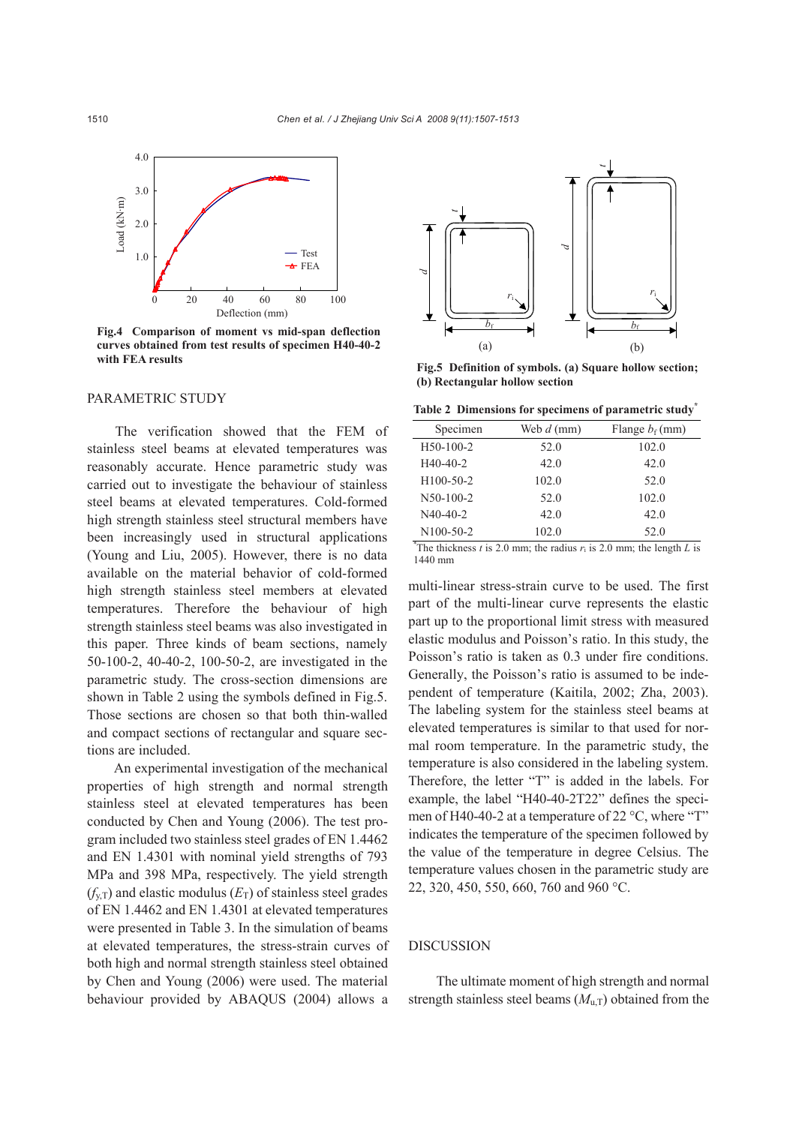

**Fig.4 Comparison of moment vs mid-span deflection curves obtained from test results of specimen H40-40-2 with FEA results** 

## PARAMETRIC STUDY

The verification showed that the FEM of stainless steel beams at elevated temperatures was reasonably accurate. Hence parametric study was carried out to investigate the behaviour of stainless steel beams at elevated temperatures. Cold-formed high strength stainless steel structural members have been increasingly used in structural applications (Young and Liu, 2005). However, there is no data available on the material behavior of cold-formed high strength stainless steel members at elevated temperatures. Therefore the behaviour of high strength stainless steel beams was also investigated in this paper. Three kinds of beam sections, namely 50-100-2, 40-40-2, 100-50-2, are investigated in the parametric study. The cross-section dimensions are shown in Table 2 using the symbols defined in Fig.5. Those sections are chosen so that both thin-walled and compact sections of rectangular and square sections are included.

An experimental investigation of the mechanical properties of high strength and normal strength stainless steel at elevated temperatures has been conducted by Chen and Young (2006). The test program included two stainless steel grades of EN 1.4462 and EN 1.4301 with nominal yield strengths of 793 MPa and 398 MPa, respectively. The yield strength  $(f_{y,T})$  and elastic modulus  $(E_T)$  of stainless steel grades of EN 1.4462 and EN 1.4301 at elevated temperatures were presented in Table 3. In the simulation of beams at elevated temperatures, the stress-strain curves of both high and normal strength stainless steel obtained by Chen and Young (2006) were used. The material behaviour provided by ABAQUS (2004) allows a



**Fig.5 Definition of symbols. (a) Square hollow section; (b) Rectangular hollow section** 

**Table 2 Dimensions for specimens of parametric study\***

| Specimen    | Web $d$ (mm) | Flange $b_f$ (mm) |
|-------------|--------------|-------------------|
| H50-100-2   | 52.0         | 102.0             |
| $H40-40-2$  | 42.0         | 42.0              |
| $H100-50-2$ | 102.0        | 52.0              |
| $N50-100-2$ | 52.0         | 102.0             |
| $N40-40-2$  | 42.0         | 42.0              |
| $N100-50-2$ | 102.0        | 52.0              |

<sup>\*</sup>The thickness *t* is 2.0 mm; the radius  $r_i$  is 2.0 mm; the length *L* is 1440 mm

multi-linear stress-strain curve to be used. The first part of the multi-linear curve represents the elastic part up to the proportional limit stress with measured elastic modulus and Poisson's ratio. In this study, the Poisson's ratio is taken as 0.3 under fire conditions. Generally, the Poisson's ratio is assumed to be independent of temperature (Kaitila, 2002; Zha, 2003). The labeling system for the stainless steel beams at elevated temperatures is similar to that used for normal room temperature. In the parametric study, the temperature is also considered in the labeling system. Therefore, the letter "T" is added in the labels. For example, the label "H40-40-2T22" defines the specimen of H40-40-2 at a temperature of 22 °C, where "T" indicates the temperature of the specimen followed by the value of the temperature in degree Celsius. The temperature values chosen in the parametric study are 22, 320, 450, 550, 660, 760 and 960 °C.

## DISCUSSION

The ultimate moment of high strength and normal strength stainless steel beams  $(M_{u,T})$  obtained from the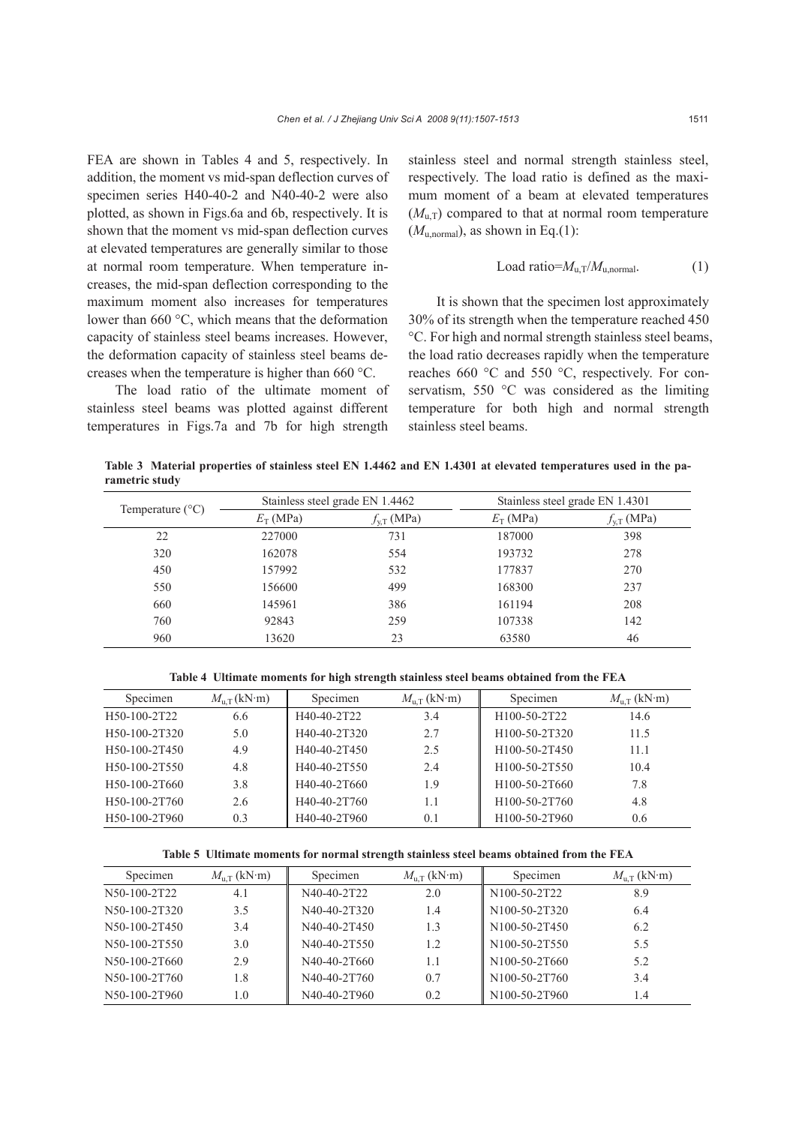FEA are shown in Tables 4 and 5, respectively. In addition, the moment vs mid-span deflection curves of specimen series H40-40-2 and N40-40-2 were also plotted, as shown in Figs.6a and 6b, respectively. It is shown that the moment vs mid-span deflection curves at elevated temperatures are generally similar to those at normal room temperature. When temperature increases, the mid-span deflection corresponding to the maximum moment also increases for temperatures lower than 660 °C, which means that the deformation capacity of stainless steel beams increases. However, the deformation capacity of stainless steel beams decreases when the temperature is higher than 660 °C.

The load ratio of the ultimate moment of stainless steel beams was plotted against different temperatures in Figs.7a and 7b for high strength stainless steel and normal strength stainless steel, respectively. The load ratio is defined as the maximum moment of a beam at elevated temperatures  $(M<sub>u T</sub>)$  compared to that at normal room temperature  $(M_{\text{u normal}})$ , as shown in Eq.(1):

$$
Load ratio=M_{u,T}/M_{u,normal}.
$$
 (1)

It is shown that the specimen lost approximately 30% of its strength when the temperature reached 450 °C. For high and normal strength stainless steel beams, the load ratio decreases rapidly when the temperature reaches 660 °C and 550 °C, respectively. For conservatism, 550 °C was considered as the limiting temperature for both high and normal strength stainless steel beams.

**Table 3 Material properties of stainless steel EN 1.4462 and EN 1.4301 at elevated temperatures used in the parametric study** 

| Temperature $(^{\circ}C)$ |             | Stainless steel grade EN 1.4462 |             | Stainless steel grade EN 1.4301 |  |
|---------------------------|-------------|---------------------------------|-------------|---------------------------------|--|
|                           | $E_T$ (MPa) | $f_{v,T}$ (MPa)                 | $E_T$ (MPa) | $f_{y,T}$ (MPa)                 |  |
| 22                        | 227000      | 731                             | 187000      | 398                             |  |
| 320                       | 162078      | 554                             | 193732      | 278                             |  |
| 450                       | 157992      | 532                             | 177837      | 270                             |  |
| 550                       | 156600      | 499                             | 168300      | 237                             |  |
| 660                       | 145961      | 386                             | 161194      | 208                             |  |
| 760                       | 92843       | 259                             | 107338      | 142                             |  |
| 960                       | 13620       | 23                              | 63580       | 46                              |  |

**Table 4 Ultimate moments for high strength stainless steel beams obtained from the FEA** 

| Specimen                               | $M_{\rm H\,T}$ (kN·m) | Specimen     | $M_{\rm u,T}$ (kN·m) | Specimen                               | $M_{\text{u}\,\text{T}}$ (kN·m) |
|----------------------------------------|-----------------------|--------------|----------------------|----------------------------------------|---------------------------------|
| H50-100-2T22                           | 6.6                   | H40-40-2T22  | 3.4                  | H100-50-2T22                           | 14.6                            |
| H <sub>50</sub> -100-2T <sub>320</sub> | 5.0                   | H40-40-2T320 | 2.7                  | H <sub>100</sub> -50-2T <sub>320</sub> | 11.5                            |
| H <sub>50</sub> -100-2T450             | 4.9                   | H40-40-2T450 | 2.5                  | H <sub>100</sub> -50-2T <sub>450</sub> | 11.1                            |
| H <sub>50</sub> -100-2T <sub>550</sub> | 4.8                   | H40-40-2T550 | 2.4                  | H <sub>100</sub> -50-2T550             | 10.4                            |
| H <sub>50</sub> -100-2T660             | 3.8                   | H40-40-2T660 | 1.9                  | H100-50-2T660                          | 7.8                             |
| H <sub>50</sub> -100-2T760             | 2.6                   | H40-40-2T760 | 1.1                  | H <sub>100</sub> -50-2T760             | 4.8                             |
| H <sub>50</sub> -100-2T960             | 0.3                   | H40-40-2T960 | 0.1                  | H100-50-2T960                          | 0.6                             |

**Table 5 Ultimate moments for normal strength stainless steel beams obtained from the FEA** 

| Specimen                               | $M_{\rm uT}$ (kN·m) | Specimen     | $M_{\rm H\,T}$ (kN·m) | Specimen                               | $M_{\rm H\,T}$ (kN·m) |
|----------------------------------------|---------------------|--------------|-----------------------|----------------------------------------|-----------------------|
| N50-100-2T22                           | 4.1                 | N40-40-2T22  | 2.0                   | N <sub>100</sub> -50-2T <sub>22</sub>  | 8.9                   |
| N <sub>50</sub> -100-2T <sub>320</sub> | 3.5                 | N40-40-2T320 | 1.4                   | N <sub>100</sub> -50-2T <sub>320</sub> | 6.4                   |
| N50-100-2T450                          | 3.4                 | N40-40-2T450 | 1.3                   | N100-50-2T450                          | 6.2                   |
| N <sub>50</sub> -100-2T <sub>550</sub> | 3.0                 | N40-40-2T550 | 1.2                   | N100-50-2T550                          | 5.5                   |
| N <sub>50</sub> -100-2T <sub>660</sub> | 2.9                 | N40-40-2T660 | 1.1                   | N <sub>100</sub> -50-2T660             | 5.2                   |
| N50-100-2T760                          | 1.8                 | N40-40-2T760 | 0.7                   | N100-50-2T760                          | 3.4                   |
| N50-100-2T960                          | 1.0                 | N40-40-2T960 | 0.2                   | N <sub>100</sub> -50-2T960             | 1.4                   |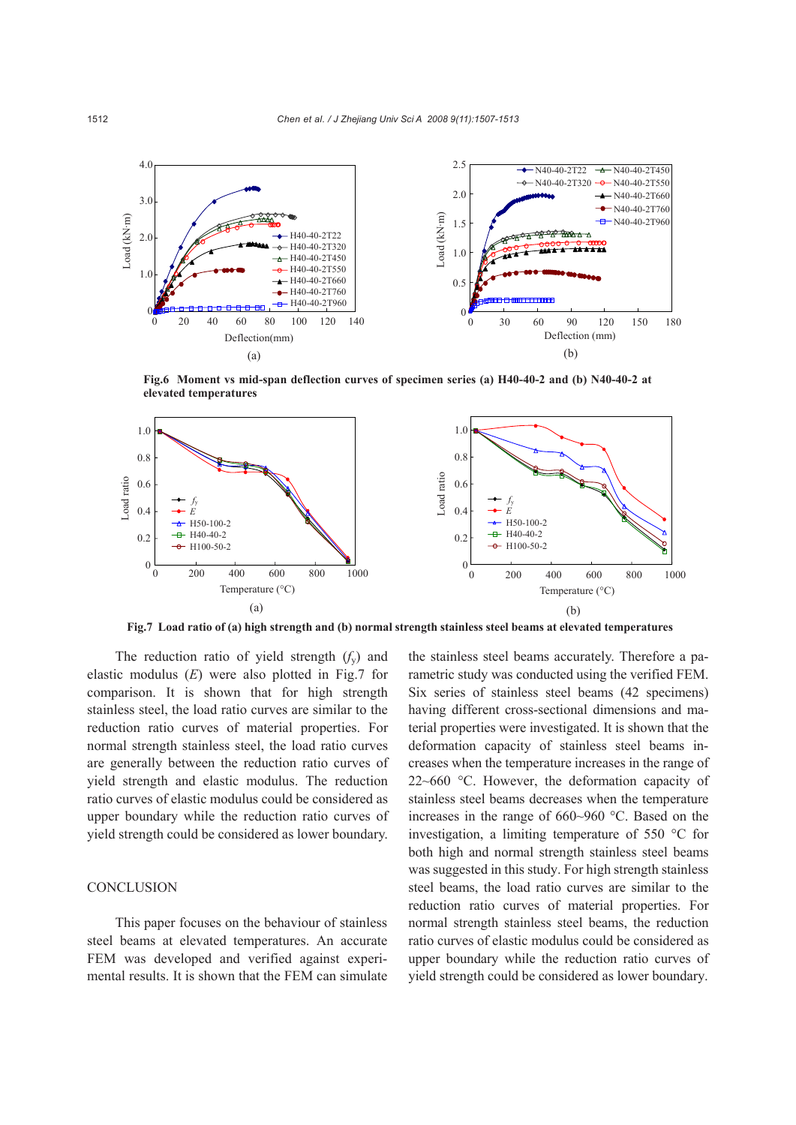

**Fig.6 Moment vs mid-span deflection curves of specimen series (a) H40-40-2 and (b) N40-40-2 at elevated temperatures**



**Fig.7 Load ratio of (a) high strength and (b) normal strength stainless steel beams at elevated temperatures**

The reduction ratio of yield strength  $(f_v)$  and elastic modulus (*E*) were also plotted in Fig.7 for comparison. It is shown that for high strength stainless steel, the load ratio curves are similar to the reduction ratio curves of material properties. For normal strength stainless steel, the load ratio curves are generally between the reduction ratio curves of yield strength and elastic modulus. The reduction ratio curves of elastic modulus could be considered as upper boundary while the reduction ratio curves of yield strength could be considered as lower boundary.

## **CONCLUSION**

This paper focuses on the behaviour of stainless steel beams at elevated temperatures. An accurate FEM was developed and verified against experimental results. It is shown that the FEM can simulate the stainless steel beams accurately. Therefore a parametric study was conducted using the verified FEM. Six series of stainless steel beams (42 specimens) having different cross-sectional dimensions and material properties were investigated. It is shown that the deformation capacity of stainless steel beams increases when the temperature increases in the range of 22~660 °C. However, the deformation capacity of stainless steel beams decreases when the temperature increases in the range of 660~960 °C. Based on the investigation, a limiting temperature of 550 °C for both high and normal strength stainless steel beams was suggested in this study. For high strength stainless steel beams, the load ratio curves are similar to the reduction ratio curves of material properties. For normal strength stainless steel beams, the reduction ratio curves of elastic modulus could be considered as upper boundary while the reduction ratio curves of yield strength could be considered as lower boundary.